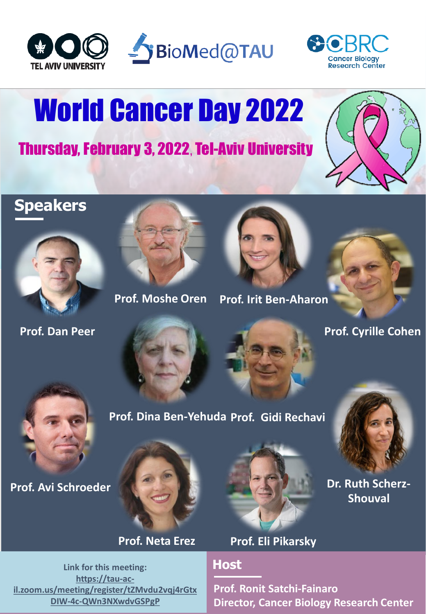





# World Cancer Day 2022

Thursday, February 3, 2022**,** Tel-Aviv University



## **Speakers**



**Prof. Dan Peer**



**Prof. Moshe Oren** Prof. Irit Ben-Aharon





**Prof. Cyrille Cohen**





**Link for this meeting: https://tau-ac[il.zoom.us/meeting/register/tZMvdu2vqj4rGtx](https://tau-ac-il.zoom.us/meeting/register/tZMvdu2vqj4rGtxDIW-4c-QWn3NXwdvGSPgP) DIW-4c-QWn3NXwdvGSPgP**



**Prof. Neta Erez Prof. Eli Pikarsky**

### **Host**

**Prof. Dina Ben-Yehuda Prof. Gidi Rechavi**

**Prof. Ronit Satchi-Fainaro Director, Cancer Biology Research Center**



**Shouval**